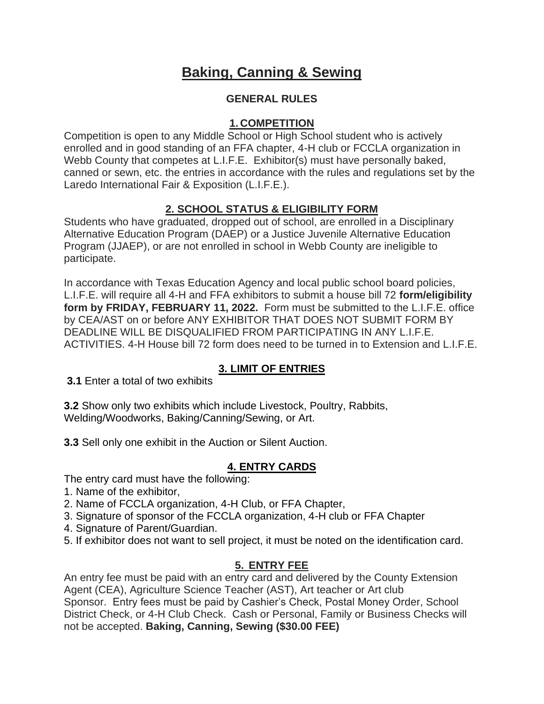# **Baking, Canning & Sewing**

## **GENERAL RULES**

## **1. COMPETITION**

Competition is open to any Middle School or High School student who is actively enrolled and in good standing of an FFA chapter, 4-H club or FCCLA organization in Webb County that competes at L.I.F.E. Exhibitor(s) must have personally baked, canned or sewn, etc. the entries in accordance with the rules and regulations set by the Laredo International Fair & Exposition (L.I.F.E.).

# **2. SCHOOL STATUS & ELIGIBILITY FORM**

Students who have graduated, dropped out of school, are enrolled in a Disciplinary Alternative Education Program (DAEP) or a Justice Juvenile Alternative Education Program (JJAEP), or are not enrolled in school in Webb County are ineligible to participate.

In accordance with Texas Education Agency and local public school board policies, L.I.F.E. will require all 4-H and FFA exhibitors to submit a house bill 72 **form/eligibility form by FRIDAY, FEBRUARY 11, 2022.** Form must be submitted to the L.I.F.E. office by CEA/AST on or before ANY EXHIBITOR THAT DOES NOT SUBMIT FORM BY DEADLINE WILL BE DISQUALIFIED FROM PARTICIPATING IN ANY L.I.F.E. ACTIVITIES. 4-H House bill 72 form does need to be turned in to Extension and L.I.F.E.

## **3. LIMIT OF ENTRIES**

**3.1** Enter a total of two exhibits

**3.2** Show only two exhibits which include Livestock, Poultry, Rabbits, Welding/Woodworks, Baking/Canning/Sewing, or Art.

**3.3** Sell only one exhibit in the Auction or Silent Auction.

## **4. ENTRY CARDS**

The entry card must have the following:

- 1. Name of the exhibitor,
- 2. Name of FCCLA organization, 4-H Club, or FFA Chapter,
- 3. Signature of sponsor of the FCCLA organization, 4-H club or FFA Chapter
- 4. Signature of Parent/Guardian.
- 5. If exhibitor does not want to sell project, it must be noted on the identification card.

## **5. ENTRY FEE**

An entry fee must be paid with an entry card and delivered by the County Extension Agent (CEA), Agriculture Science Teacher (AST), Art teacher or Art club Sponsor. Entry fees must be paid by Cashier's Check, Postal Money Order, School District Check, or 4-H Club Check. Cash or Personal, Family or Business Checks will not be accepted. **Baking, Canning, Sewing (\$30.00 FEE)**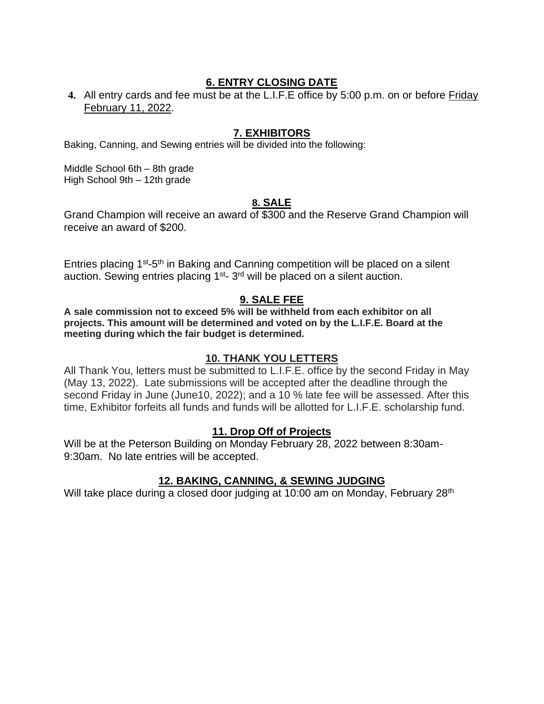## **6. ENTRY CLOSING DATE**

**4.** All entry cards and fee must be at the L.I.F.E office by 5:00 p.m. on or before Friday February 11, 2022.

### **7. EXHIBITORS**

Baking, Canning, and Sewing entries will be divided into the following:

Middle School 6th – 8th grade High School 9th – 12th grade

### **8. SALE**

Grand Champion will receive an award of \$300 and the Reserve Grand Champion will receive an award of \$200.

Entries placing 1<sup>st</sup>-5<sup>th</sup> in Baking and Canning competition will be placed on a silent auction. Sewing entries placing 1<sup>st</sup>- 3<sup>rd</sup> will be placed on a silent auction.

### **9. SALE FEE**

**A sale commission not to exceed 5% will be withheld from each exhibitor on all projects. This amount will be determined and voted on by the L.I.F.E. Board at the meeting during which the fair budget is determined.**

### **10. THANK YOU LETTERS**

All Thank You, letters must be submitted to L.I.F.E. office by the second Friday in May (May 13, 2022). Late submissions will be accepted after the deadline through the second Friday in June (June10, 2022); and a 10 % late fee will be assessed. After this time, Exhibitor forfeits all funds and funds will be allotted for L.I.F.E. scholarship fund.

### **11. Drop Off of Projects**

Will be at the Peterson Building on Monday February 28, 2022 between 8:30am-9:30am. No late entries will be accepted.

### **12. BAKING, CANNING, & SEWING JUDGING**

Will take place during a closed door judging at 10:00 am on Monday, February 28<sup>th</sup>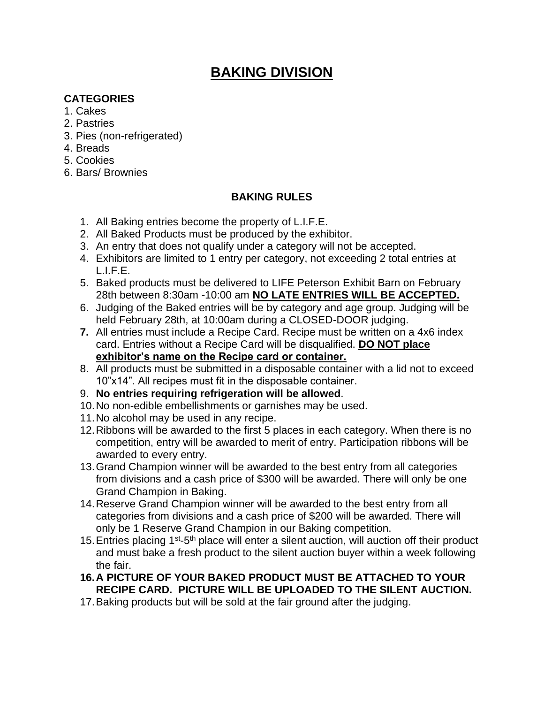# **BAKING DIVISION**

# **CATEGORIES**

- 1. Cakes
- 2. Pastries
- 3. Pies (non-refrigerated)
- 4. Breads
- 5. Cookies
- 6. Bars/ Brownies

# **BAKING RULES**

- 1. All Baking entries become the property of L.I.F.E.
- 2. All Baked Products must be produced by the exhibitor.
- 3. An entry that does not qualify under a category will not be accepted.
- 4. Exhibitors are limited to 1 entry per category, not exceeding 2 total entries at L.I.F.E.
- 5. Baked products must be delivered to LIFE Peterson Exhibit Barn on February 28th between 8:30am -10:00 am **NO LATE ENTRIES WILL BE ACCEPTED.**
- 6. Judging of the Baked entries will be by category and age group. Judging will be held February 28th, at 10:00am during a CLOSED-DOOR judging.
- **7.** All entries must include a Recipe Card. Recipe must be written on a 4x6 index card. Entries without a Recipe Card will be disqualified. **DO NOT place exhibitor's name on the Recipe card or container.**
- 8. All products must be submitted in a disposable container with a lid not to exceed 10"x14". All recipes must fit in the disposable container.
- 9. **No entries requiring refrigeration will be allowed**.
- 10.No non-edible embellishments or garnishes may be used.
- 11.No alcohol may be used in any recipe.
- 12.Ribbons will be awarded to the first 5 places in each category. When there is no competition, entry will be awarded to merit of entry. Participation ribbons will be awarded to every entry.
- 13.Grand Champion winner will be awarded to the best entry from all categories from divisions and a cash price of \$300 will be awarded. There will only be one Grand Champion in Baking.
- 14.Reserve Grand Champion winner will be awarded to the best entry from all categories from divisions and a cash price of \$200 will be awarded. There will only be 1 Reserve Grand Champion in our Baking competition.
- 15. Entries placing 1<sup>st</sup>-5<sup>th</sup> place will enter a silent auction, will auction off their product and must bake a fresh product to the silent auction buyer within a week following the fair.
- **16.A PICTURE OF YOUR BAKED PRODUCT MUST BE ATTACHED TO YOUR RECIPE CARD. PICTURE WILL BE UPLOADED TO THE SILENT AUCTION.**
- 17.Baking products but will be sold at the fair ground after the judging.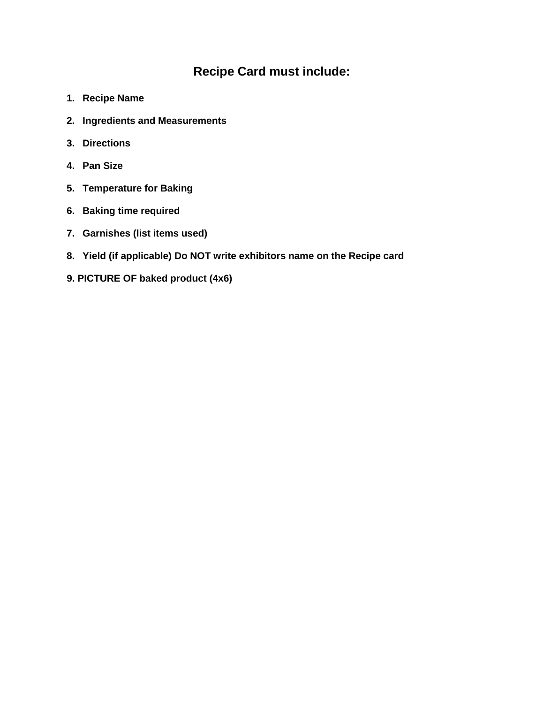# **Recipe Card must include:**

- **1. Recipe Name**
- **2. Ingredients and Measurements**
- **3. Directions**
- **4. Pan Size**
- **5. Temperature for Baking**
- **6. Baking time required**
- **7. Garnishes (list items used)**
- **8. Yield (if applicable) Do NOT write exhibitors name on the Recipe card**
- **9. PICTURE OF baked product (4x6)**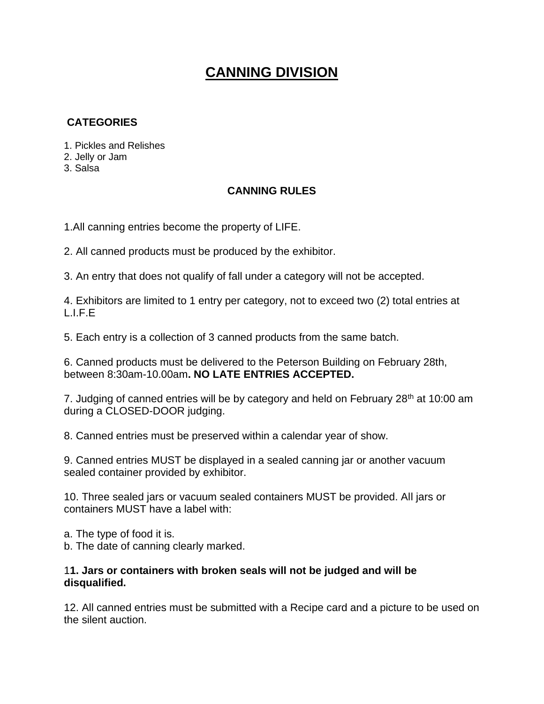# **CANNING DIVISION**

# **CATEGORIES**

- 1. Pickles and Relishes
- 2. Jelly or Jam
- 3. Salsa

### **CANNING RULES**

1.All canning entries become the property of LIFE.

2. All canned products must be produced by the exhibitor.

3. An entry that does not qualify of fall under a category will not be accepted.

4. Exhibitors are limited to 1 entry per category, not to exceed two (2) total entries at L.I.F.E

5. Each entry is a collection of 3 canned products from the same batch.

6. Canned products must be delivered to the Peterson Building on February 28th, between 8:30am-10.00am**. NO LATE ENTRIES ACCEPTED.**

7. Judging of canned entries will be by category and held on February  $28<sup>th</sup>$  at 10:00 am during a CLOSED-DOOR judging.

8. Canned entries must be preserved within a calendar year of show.

9. Canned entries MUST be displayed in a sealed canning jar or another vacuum sealed container provided by exhibitor.

10. Three sealed jars or vacuum sealed containers MUST be provided. All jars or containers MUST have a label with:

a. The type of food it is.

b. The date of canning clearly marked.

### 1**1. Jars or containers with broken seals will not be judged and will be disqualified.**

12. All canned entries must be submitted with a Recipe card and a picture to be used on the silent auction.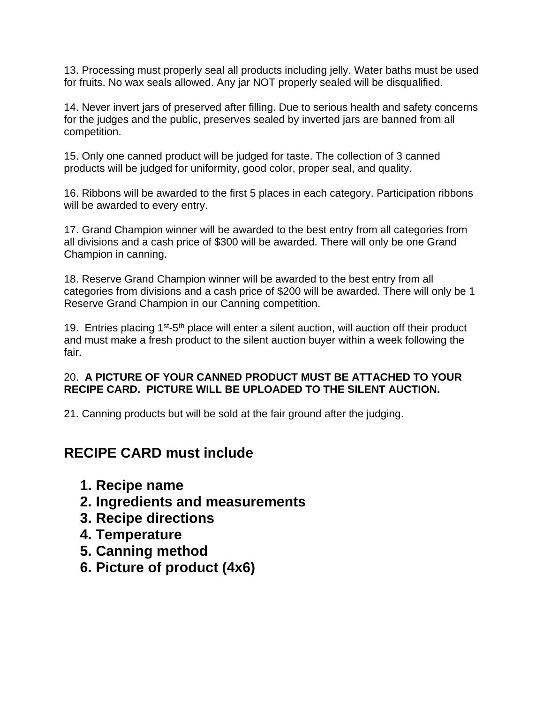13. Processing must properly seal all products including jelly. Water baths must be used for fruits. No wax seals allowed. Any jar NOT properly sealed will be disqualified.

14. Never invert jars of preserved after filling. Due to serious health and safety concerns for the judges and the public, preserves sealed by inverted jars are banned from all competition.

15. Only one canned product will be judged for taste. The collection of 3 canned products will be judged for uniformity, good color, proper seal, and quality.

16. Ribbons will be awarded to the first 5 places in each category. Participation ribbons will be awarded to every entry.

17. Grand Champion winner will be awarded to the best entry from all categories from all divisions and a cash price of \$300 will be awarded. There will only be one Grand Champion in canning.

18. Reserve Grand Champion winner will be awarded to the best entry from all categories from divisions and a cash price of \$200 will be awarded. There will only be 1 Reserve Grand Champion in our Canning competition.

19. Entries placing  $1^{st}$ -5<sup>th</sup> place will enter a silent auction, will auction off their product and must make a fresh product to the silent auction buyer within a week following the fair.

# 20. **A PICTURE OF YOUR CANNED PRODUCT MUST BE ATTACHED TO YOUR RECIPE CARD. PICTURE WILL BE UPLOADED TO THE SILENT AUCTION.**

21. Canning products but will be sold at the fair ground after the judging.

# **RECIPE CARD must include**

- **1. Recipe name**
- **2. Ingredients and measurements**
- **3. Recipe directions**
- **4. Temperature**
- **5. Canning method**
- **6. Picture of product (4x6)**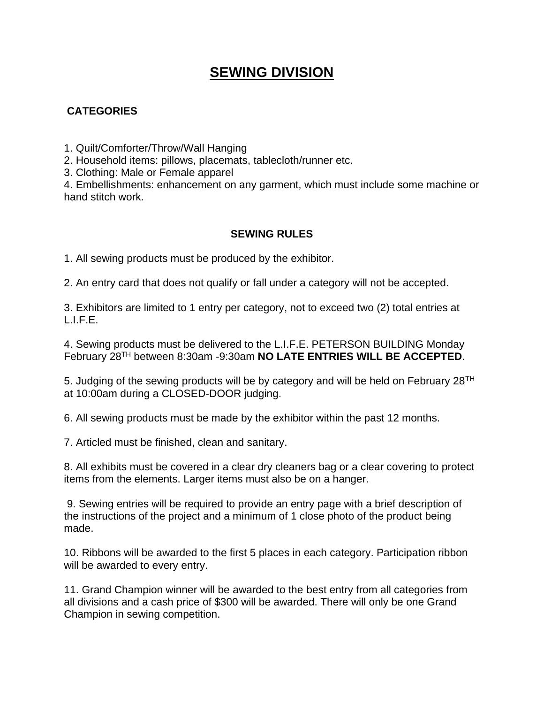# **SEWING DIVISION**

# **CATEGORIES**

1. Quilt/Comforter/Throw/Wall Hanging

2. Household items: pillows, placemats, tablecloth/runner etc.

3. Clothing: Male or Female apparel

4. Embellishments: enhancement on any garment, which must include some machine or hand stitch work.

## **SEWING RULES**

1. All sewing products must be produced by the exhibitor.

2. An entry card that does not qualify or fall under a category will not be accepted.

3. Exhibitors are limited to 1 entry per category, not to exceed two (2) total entries at L.I.F.E.

4. Sewing products must be delivered to the L.I.F.E. PETERSON BUILDING Monday February 28TH between 8:30am -9:30am **NO LATE ENTRIES WILL BE ACCEPTED**.

5. Judging of the sewing products will be by category and will be held on February  $28<sup>TH</sup>$ at 10:00am during a CLOSED-DOOR judging.

6. All sewing products must be made by the exhibitor within the past 12 months.

7. Articled must be finished, clean and sanitary.

8. All exhibits must be covered in a clear dry cleaners bag or a clear covering to protect items from the elements. Larger items must also be on a hanger.

9. Sewing entries will be required to provide an entry page with a brief description of the instructions of the project and a minimum of 1 close photo of the product being made.

10. Ribbons will be awarded to the first 5 places in each category. Participation ribbon will be awarded to every entry.

11. Grand Champion winner will be awarded to the best entry from all categories from all divisions and a cash price of \$300 will be awarded. There will only be one Grand Champion in sewing competition.